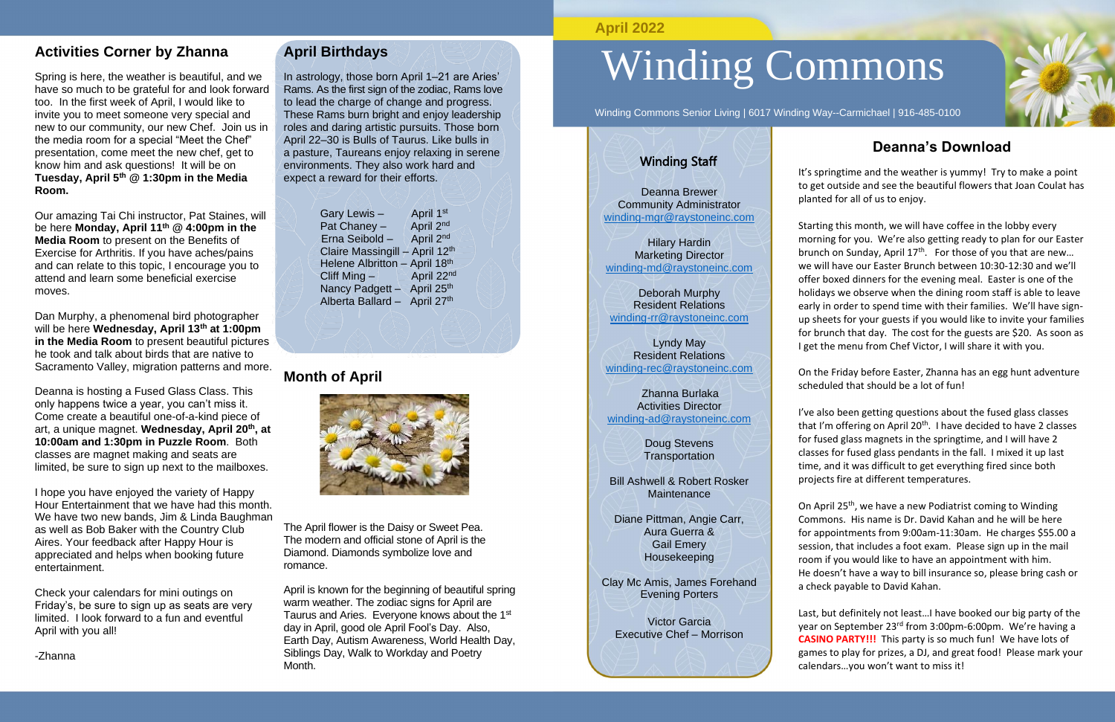#### **Activities Corner by Zhanna**

Spring is here, the weather is beautiful, and we have so much to be grateful for and look forward too. In the first week of April, I would like to invite you to meet someone very special and new to our community, our new Chef. Join us in the media room for a special "Meet the Chef" presentation, come meet the new chef, get to know him and ask questions! It will be on **Tuesday, April 5th @ 1:30pm in the Media Room.**

Our amazing Tai Chi instructor, Pat Staines, will be here **Monday, April 11th @ 4:00pm in the Media Room** to present on the Benefits of Exercise for Arthritis. If you have aches/pains and can relate to this topic, I encourage you to attend and learn some beneficial exercise moves.

Dan Murphy, a phenomenal bird photographer will be here **Wednesday, April 13th at 1:00pm in the Media Room** to present beautiful pictures he took and talk about birds that are native to Sacramento Valley, migration patterns and more.

Deanna is hosting a Fused Glass Class. This only happens twice a year, you can't miss it. Come create a beautiful one-of-a-kind piece of art, a unique magnet. **Wednesday, April 20th, at 10:00am and 1:30pm in Puzzle Room**. Both classes are magnet making and seats are limited, be sure to sign up next to the mailboxes.

I hope you have enjoyed the variety of Happy Hour Entertainment that we have had this month. We have two new bands, Jim & Linda Baughman as well as Bob Baker with the Country Club Aires. Your feedback after Happy Hour is appreciated and helps when booking future entertainment.

Check your calendars for mini outings on Friday's, be sure to sign up as seats are very limited. I look forward to a fun and eventful April with you all!

-Zhanna

#### **April Birthdays**

In astrology, those born April 1–21 are Aries' Rams. As the first sign of the zodiac, Rams love to lead the charge of change and progress. These Rams burn bright and enjoy leadership roles and daring artistic pursuits. Those born April 22–30 is Bulls of Taurus. Like bulls in a pasture, Taureans enjoy relaxing in serene environments. They also work hard and expect a reward for their efforts.

| Gary Lewis-                    | April 1st  |
|--------------------------------|------------|
| Pat Chaney -                   | April 2nd  |
| Erna Seibold -                 | April 2nd  |
| Claire Massingill - April 12th |            |
| Helene Albritton - April 18th  |            |
| Cliff Ming-                    | April 22nd |
| Nancy Padgett - April 25th     |            |
| Alberta Ballard - April 27th   |            |
|                                |            |

On April 25<sup>th</sup>, we have a new Podiatrist coming to Winding Commons. His name is Dr. David Kahan and he will be here for appointments from 9:00am-11:30am. He charges \$55.00 a session, that includes a foot exam. Please sign up in the mail room if you would like to have an appointment with him. He doesn't have a way to bill insurance so, please bring cash or a check payable to David Kahan.

#### **Month of April**

The April flower is the Daisy or Sweet Pea. The modern and official stone of April is the

Diamond. Diamonds symbolize love and

Doug Stevens **Transportation** 

Bill Ashwell & Robert Rosker **Maintenance** 

romance. April is known for the beginning of beautiful spring warm weather. The zodiac signs for April are Taurus and Aries. Everyone knows about the 1st day in April, good ole April Fool's Day. Also, Earth Day, Autism Awareness, World Health Day, Siblings Day, Walk to Workday and Poetry Month.

# Winding Commons

Winding Commons Senior Living | 6017 Winding Way--Carmichael | 916-485-0100

# **Deanna's Download**

It's springtime and the weather is yummy! Try to make a point to get outside and see the beautiful flowers that Joan Coulat has planted for all of us to enjoy.

Starting this month, we will have coffee in the lobby every morning for you. We're also getting ready to plan for our Easter brunch on Sunday, April 17<sup>th</sup>. For those of you that are new... we will have our Easter Brunch between 10:30-12:30 and we'll offer boxed dinners for the evening meal. Easter is one of the holidays we observe when the dining room staff is able to leave early in order to spend time with their families. We'll have signup sheets for your guests if you would like to invite your families for brunch that day. The cost for the guests are \$20. As soon as I get the menu from Chef Victor, I will share it with you.

On the Friday before Easter, Zhanna has an egg hunt adventure scheduled that should be a lot of fun!

I've also been getting questions about the fused glass classes that I'm offering on April 20<sup>th</sup>. I have decided to have 2 classes for fused glass magnets in the springtime, and I will have 2 classes for fused glass pendants in the fall. I mixed it up last time, and it was difficult to get everything fired since both projects fire at different temperatures.

Last, but definitely not least…I have booked our big party of the year on September 23rd from 3:00pm-6:00pm. We're having a **CASINO PARTY!!!** This party is so much fun! We have lots of games to play for prizes, a DJ, and great food! Please mark your calendars…you won't want to miss it!





#### **April 2022**

#### Winding Staff

Deanna Brewer Community Administrator [winding-mgr@raystoneinc.com](mailto:winding-mgr@raystoneinc.com) 

Hilary Hardin Marketing Director [winding-md@raystoneinc.com](mailto:winding-md@raystoneinc.com)

Deborah Murphy Resident Relations [winding-rr@raystoneinc.com](mailto:winding-rr@raystoneinc.com)

Lyndy May Resident Relations [winding-rec@raystoneinc.com](mailto:winding-rec@raystoneinc.com)

 Zhanna Burlaka Activities Director [winding-ad@raystoneinc.com](mailto:winding-ad@raystoneinc.com)

Diane Pittman, Angie Carr, Aura Guerra & Gail Emery Housekeeping

Clay Mc Amis, James Forehand Evening Porters

Victor Garcia Executive Chef – Morrison